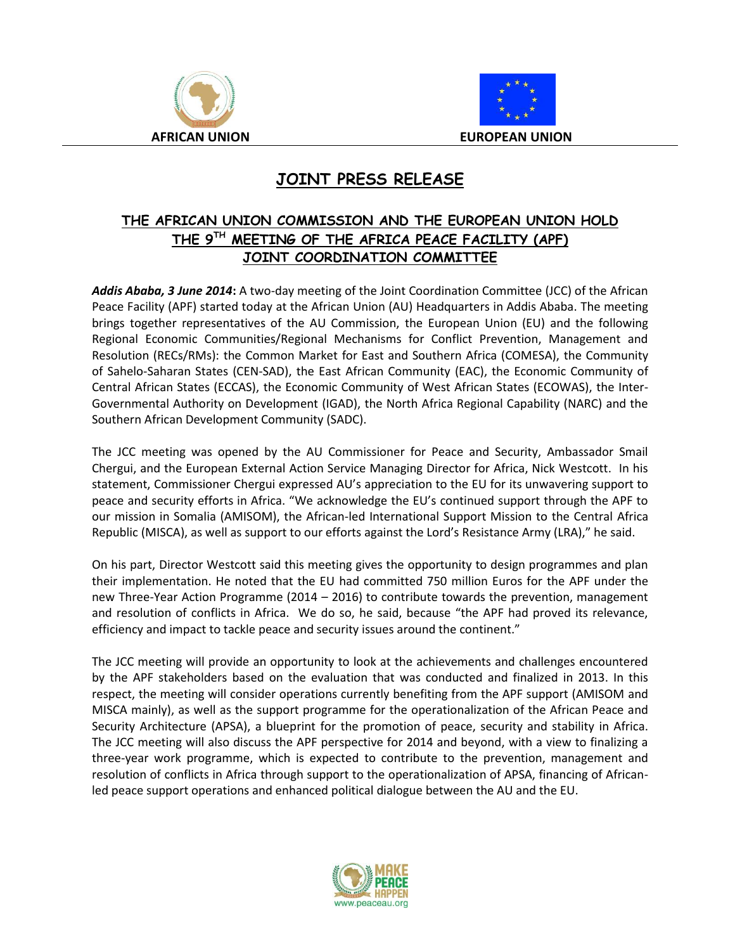



## **JOINT PRESS RELEASE**

## **THE AFRICAN UNION COMMISSION AND THE EUROPEAN UNION HOLD THE 9 TH MEETING OF THE AFRICA PEACE FACILITY (APF) JOINT COORDINATION COMMITTEE**

*Addis Ababa, 3 June 2014***:** A two-day meeting of the Joint Coordination Committee (JCC) of the African Peace Facility (APF) started today at the African Union (AU) Headquarters in Addis Ababa. The meeting brings together representatives of the AU Commission, the European Union (EU) and the following Regional Economic Communities/Regional Mechanisms for Conflict Prevention, Management and Resolution (RECs/RMs): the Common Market for East and Southern Africa (COMESA), the Community of Sahelo-Saharan States (CEN-SAD), the East African Community (EAC), the Economic Community of Central African States (ECCAS), the Economic Community of West African States (ECOWAS), the Inter-Governmental Authority on Development (IGAD), the North Africa Regional Capability (NARC) and the Southern African Development Community (SADC).

The JCC meeting was opened by the AU Commissioner for Peace and Security, Ambassador Smail Chergui, and the European External Action Service Managing Director for Africa, Nick Westcott. In his statement, Commissioner Chergui expressed AU's appreciation to the EU for its unwavering support to peace and security efforts in Africa. "We acknowledge the EU's continued support through the APF to our mission in Somalia (AMISOM), the African-led International Support Mission to the Central Africa Republic (MISCA), as well as support to our efforts against the Lord's Resistance Army (LRA)," he said.

On his part, Director Westcott said this meeting gives the opportunity to design programmes and plan their implementation. He noted that the EU had committed 750 million Euros for the APF under the new Three-Year Action Programme (2014 – 2016) to contribute towards the prevention, management and resolution of conflicts in Africa. We do so, he said, because "the APF had proved its relevance, efficiency and impact to tackle peace and security issues around the continent."

The JCC meeting will provide an opportunity to look at the achievements and challenges encountered by the APF stakeholders based on the evaluation that was conducted and finalized in 2013. In this respect, the meeting will consider operations currently benefiting from the APF support (AMISOM and MISCA mainly), as well as the support programme for the operationalization of the African Peace and Security Architecture (APSA), a blueprint for the promotion of peace, security and stability in Africa. The JCC meeting will also discuss the APF perspective for 2014 and beyond, with a view to finalizing a three-year work programme, which is expected to contribute to the prevention, management and resolution of conflicts in Africa through support to the operationalization of APSA, financing of Africanled peace support operations and enhanced political dialogue between the AU and the EU.

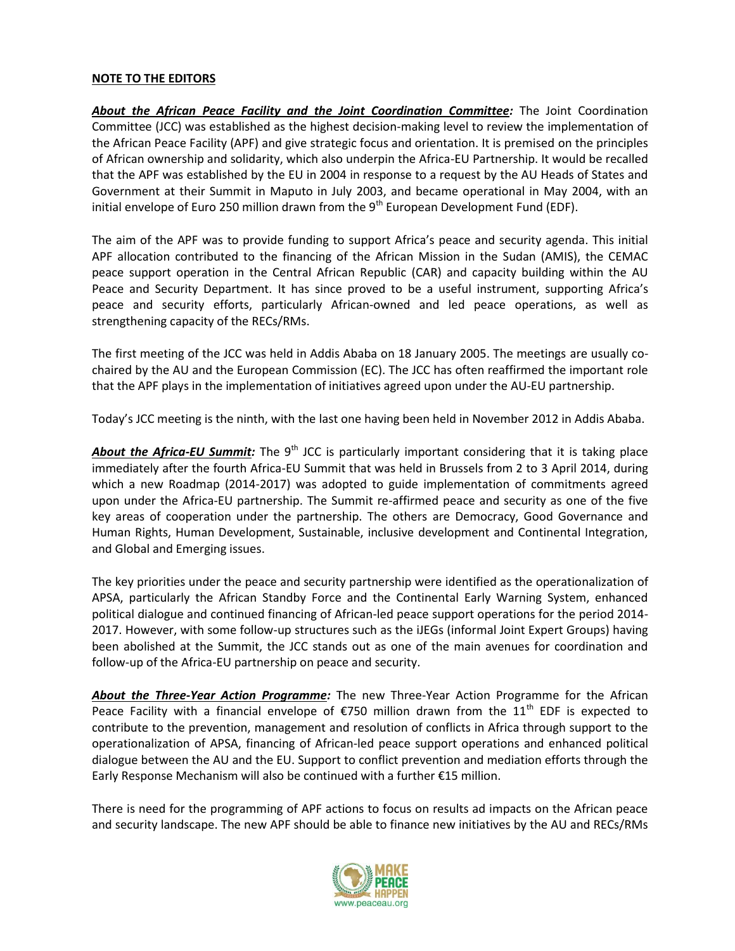## **NOTE TO THE EDITORS**

*About the African Peace Facility and the Joint Coordination Committee:* The Joint Coordination Committee (JCC) was established as the highest decision-making level to review the implementation of the African Peace Facility (APF) and give strategic focus and orientation. It is premised on the principles of African ownership and solidarity, which also underpin the Africa-EU Partnership. It would be recalled that the APF was established by the EU in 2004 in response to a request by the AU Heads of States and Government at their Summit in Maputo in July 2003, and became operational in May 2004, with an initial envelope of Euro 250 million drawn from the 9<sup>th</sup> European Development Fund (EDF).

The aim of the APF was to provide funding to support Africa's peace and security agenda. This initial APF allocation contributed to the financing of the African Mission in the Sudan (AMIS), the CEMAC peace support operation in the Central African Republic (CAR) and capacity building within the AU Peace and Security Department. It has since proved to be a useful instrument, supporting Africa's peace and security efforts, particularly African-owned and led peace operations, as well as strengthening capacity of the RECs/RMs.

The first meeting of the JCC was held in Addis Ababa on 18 January 2005. The meetings are usually cochaired by the AU and the European Commission (EC). The JCC has often reaffirmed the important role that the APF plays in the implementation of initiatives agreed upon under the AU-EU partnership.

Today's JCC meeting is the ninth, with the last one having been held in November 2012 in Addis Ababa.

About the Africa-EU Summit: The 9<sup>th</sup> JCC is particularly important considering that it is taking place immediately after the fourth Africa-EU Summit that was held in Brussels from 2 to 3 April 2014, during which a new Roadmap (2014-2017) was adopted to guide implementation of commitments agreed upon under the Africa-EU partnership. The Summit re-affirmed peace and security as one of the five key areas of cooperation under the partnership. The others are Democracy, Good Governance and Human Rights, Human Development, Sustainable, inclusive development and Continental Integration, and Global and Emerging issues.

The key priorities under the peace and security partnership were identified as the operationalization of APSA, particularly the African Standby Force and the Continental Early Warning System, enhanced political dialogue and continued financing of African-led peace support operations for the period 2014- 2017. However, with some follow-up structures such as the iJEGs (informal Joint Expert Groups) having been abolished at the Summit, the JCC stands out as one of the main avenues for coordination and follow-up of the Africa-EU partnership on peace and security.

*About the Three-Year Action Programme:* The new Three-Year Action Programme for the African Peace Facility with a financial envelope of  $\epsilon$ 750 million drawn from the 11<sup>th</sup> EDF is expected to contribute to the prevention, management and resolution of conflicts in Africa through support to the operationalization of APSA, financing of African-led peace support operations and enhanced political dialogue between the AU and the EU. Support to conflict prevention and mediation efforts through the Early Response Mechanism will also be continued with a further €15 million.

There is need for the programming of APF actions to focus on results ad impacts on the African peace and security landscape. The new APF should be able to finance new initiatives by the AU and RECs/RMs